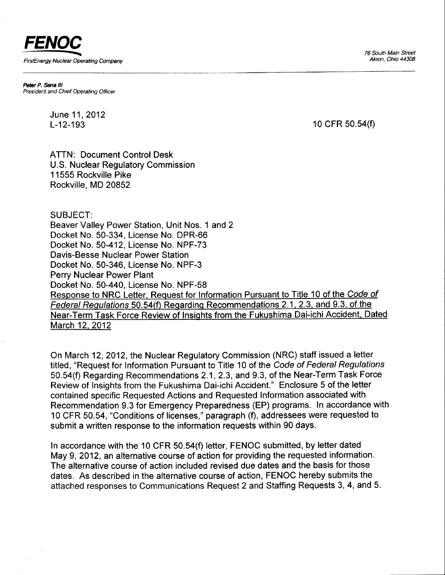76 South Main Street Akron, Ohio 44308

FENOC FirstEnergy Nuclear Operating Company

Peter P. Sena III President and Chiet Operating Officer

> June 11,2012 L-12-193

10 CFR 50.54(f)

ATTN: Document Control Desk U.S. Nuclear Regulatory Commission 11555 Rockville Pike Rockville. MD 20852

SUBJECT:

Beaver Valley Power Station, Unit Nos. 1 and 2 Docket No. 50-334, License No. DPR-66 Docket No. 50-412, License No. NPF-73 Davis-Besse Nuclear Power Station Docket No. 50-346, License No. NPF-3 Perry Nuclear Power Plant Docket No. 50-440, License No. NPF-58 Response to NRC Letter, Request for Information Pursuant to Title 10 of the Code of Federal Regulations 50.54(f) Regarding Recommendations 2.1, 2.3, and 9.3, of the Near-Term Task Force Review of Insights from the Fukushima Dai-ichi Accident, Dated March 12, 2012

On March 12,2012, the Nuclear Regulatory Commission (NRC) staff issued a letter titled, "Request for Information Pursuant to Title 10 of the Code of Federal Regulations 50.54(f) Regarding Recommendations 2.1, 2.3, and 9.3, of the Near-Term Task Force Review of Insights from the Fukushima Dai-ichi Accident." Enclosure 5of the letter contained specific Requested Actions and Requested Information associated with Recommendation 9.3 for Emergency Preparedness (EP) programs. In accordance with 10 CFR 50.54, "Conditions of licenses," paragraph (f), addressees were requested to submit a written response to the information requests within 90 days.

In accordance with the 10 CFR 50.54(f) letter, FENOC submitted, by letter dated May 9, 2012, an alternative course of action for providing the requested information. The alternative course of action included revised due dates and the basis for those dates. As described in the alternative course of action, FENOC hereby submits the attached responses to Communications Request 2 and Staffing Requests 3, 4, and 5.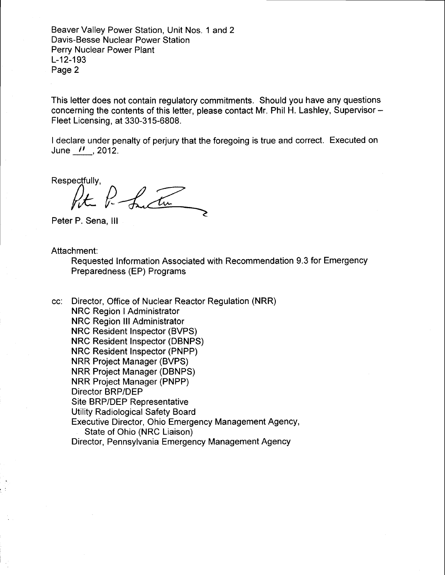Beaver Valley Power Station, Unit Nos. 1 and 2 Davis-Besse Nuclear Power Station Perry Nuclear Power Plant L-12-193 Page 2

This letter does not contain regulatory commitments. Should you have any questions concerning the contents of this letter, please contact Mr. Phil H. Lashley, Supervisor -Fleet Licensing, at 330-315-6808.

I declare under penalty of perjury that the foregoing is true and correct. Executed on June  $\prime\prime$  , 2012.

Respectfullv.

Peter Po Sanction

Peter P. Sena, lll

Attachment:

Requested lnformation Associated with Recommendation 9.3 for Emergency Preparedness (EP) Programs

cc: Director, Office of Nuclear Reactor Regulation (NRR) **NRC Region I Administrator** NRC Region lll Administrator NRC Resident Inspector (BVPS) NRC Resident Inspector (DBNPS) NRC Resident Inspector (PNPP) NRR Project Manager (BVPS) NRR Project Manager (DBNPS) NRR Project Manager (PNPP) Director BRP/DEP Site BRP/DEP Representative Utility Radiological Safety Board Executive Director, Ohio Emergency Management Agency, State of Ohio (NRC Liaison) Director, Pennsylvania Emergency Management Agency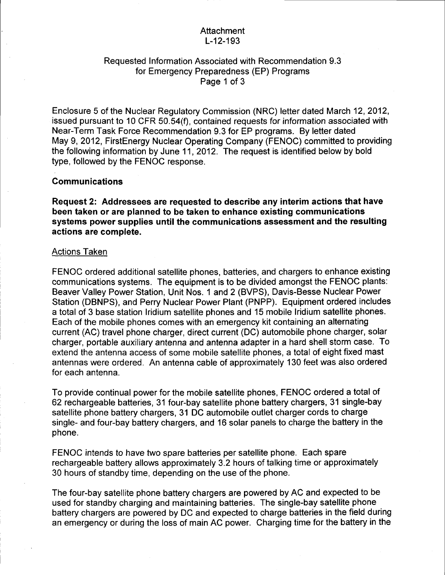### Attachment L-12-193

# Requested lnformation Associated with Recommendation 9.3 for Emergency Preparedness (EP) Programs Page 1 of 3

Enclosure 5 of the Nuclear Regulatory Commission (NRC) letter dated March 12,2012, issued pursuant to 10 CFR 50.54(f), contained requests for information associated with Near-Term Task Force Recommendation 9.3 for EP programs. By letter dated May 9, 2012, FirstEnergy Nuclear Operating Company (FENOC) committed to providing the following information by June 11,2012. The request is identified below by bold type, followed by the FENOC response.

#### Communications

Request 2: Addressees are requested to describe any interim actions that have been taken or are planned to be taken to enhance existing communications systems power supplies until the communications assessment and the resulting actions are complete.

#### Actions Taken

FENOC ordered additional satellite phones, batteries, and chargers to enhance existing communications systems. The equipment is to be divided amongst the FENOC plants: Beaver Valley Power Station, Unit Nos. 1 and 2 (BVPS), Davis-Besse Nuclear Power Station (DBNPS), and Perry Nuclear Power Plant (PNPP). Equipment ordered includes a total of 3 base station lridium satellite phones and 15 mobile lridium satellite phones. Each of the mobile phones comes with an emergency kit containing an alternating current (AC) travel phone charger, direct current (DC) automobile phone charger, solar charger, portable auxiliary antenna and antenna adapter in a hard shell storm case. To extend the antenna access of some mobile satellite phones, a total of eight fixed mast antennas were ordered. An antenna cable of approximately 130 feet was also ordered for each antenna.

To provide continual power for the mobile satellite phones, FENOC ordered a total of 62 rechargeable batteries, 31 four-bay satellite phone battery chargers, 31 single-bay satellite phone battery chargers, 31 DC automobile outlet charger cords to charge single- and four-bay battery chargers, and 16 solar panels to charge the battery in the phone.

FENOC intends to have two spare batteries per satellite phone. Each spare rechargeable battery allows approximately 3.2 hours of talking time or approximately 30 hours of standby time, depending on the use of the phone.

The four-bay satellite phone battery chargers are powered by AC and expected to be used for standby charging and maintaining batteries. The single-bay satellite phone battery chargers are powered by DC and expected to charge batteries in the field during an emergency or during the loss of main AC power. Charging time for the battery in the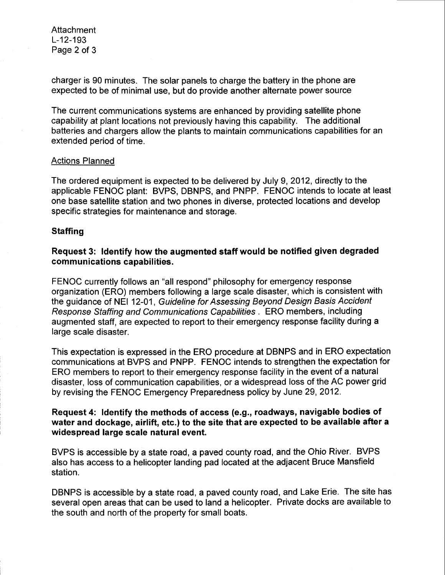Attachment L-12-193 Page 2 of 3

charger is 90 minutes. The solar panels to charge the battery in the phone are expected to be of minimal use, but do provide another alternate power source

The current communications systems are enhanced by providing satellite phone capability at plant locations not previously having this capability. The additional batteries and chargers allow the plants to maintain communications capabilities for an extended period of time.

### Actions Planned

The ordered equipment is expected to be delivered by July 9,2012, directly to the applicable FENOC plant: BVPS, DBNPS, and PNPP. FENOC intends to locate at least one base satellite station and two phones in diverse, protected locations and develop specific strategies for maintenance and storage.

### **Staffing**

# Request 3: ldentify how the augmented staff would be notified given degraded communications capabilities.

FENOC currently follows an "all respond" philosophy for emergency response organization (ERO) members following a large scale disaster, which is consistent with the guidance of NEI 12-01, Guideline for Assessing Beyond Design Basis Accident Response Staffing and Communications Capabilities . ERO members, including augmented staff, are expected to report to their emergency response facility during a large scale disaster.

This expectation is expressed in the ERO procedure at DBNPS and in ERO expectation communications at BVPS and PNPP. FENOC intends to strengthen the expectation for ERO members to report to their emergency response facility in the event of a natural disaster, loss of communication capabilities, or a widespread loss of the AC power grid by revising the FENOC Emergency Preparedness policy by June 29,2012.

# Request 4: ldentify the methods of access (e.9., roadways, navigable bodies of water and dockage, airlift, etc.) to the site that are expected to be available after a widespread large scale natural event.

BVPS is accessible by a state road, a paved county road, and the Ohio River. BVPS also has access to a helicopter landing pad located at the adjacent Bruce Mansfield station.

DBNPS is accessible by a state road, a paved county road, and Lake Erie. The site has several open areas that can be used to land a helicopter. Private docks are available to the south and north of the property for small boats.